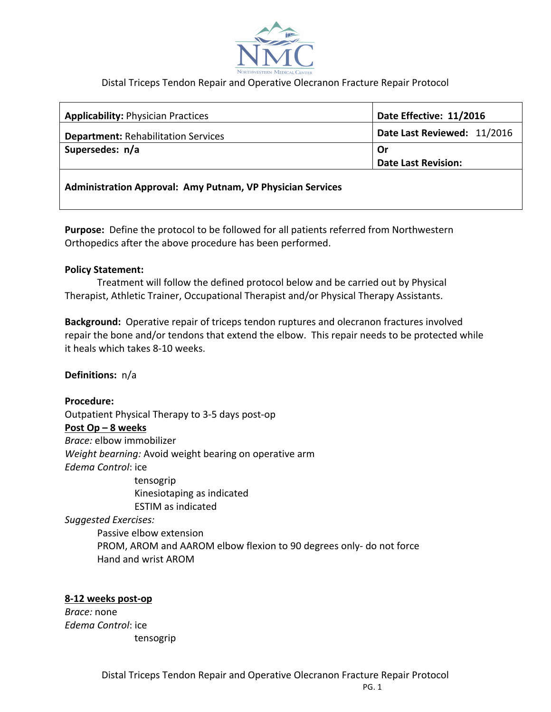

## Distal Triceps Tendon Repair and Operative Olecranon Fracture Repair Protocol

| <b>Applicability: Physician Practices</b>                  | Date Effective: 11/2016     |
|------------------------------------------------------------|-----------------------------|
| <b>Department: Rehabilitation Services</b>                 | Date Last Reviewed: 11/2016 |
| Supersedes: n/a                                            | Or                          |
|                                                            | <b>Date Last Revision:</b>  |
| Administration Approval: Amy Putnam, VP Physician Services |                             |

**Purpose:** Define the protocol to be followed for all patients referred from Northwestern Orthopedics after the above procedure has been performed.

## **Policy Statement:**

Treatment will follow the defined protocol below and be carried out by Physical Therapist, Athletic Trainer, Occupational Therapist and/or Physical Therapy Assistants.

**Background:** Operative repair of triceps tendon ruptures and olecranon fractures involved repair the bone and/or tendons that extend the elbow. This repair needs to be protected while it heals which takes 8-10 weeks.

**Definitions:** n/a

**Procedure:** 

Outpatient Physical Therapy to 3-5 days post-op **Post Op – 8 weeks** *Brace:* elbow immobilizer *Weight bearning:* Avoid weight bearing on operative arm *Edema Control*: ice

 tensogrip Kinesiotaping as indicated ESTIM as indicated

*Suggested Exercises:* 

Passive elbow extension PROM, AROM and AAROM elbow flexion to 90 degrees only- do not force Hand and wrist AROM

## **8-12 weeks post-op**

*Brace:* none *Edema Control*: ice tensogrip